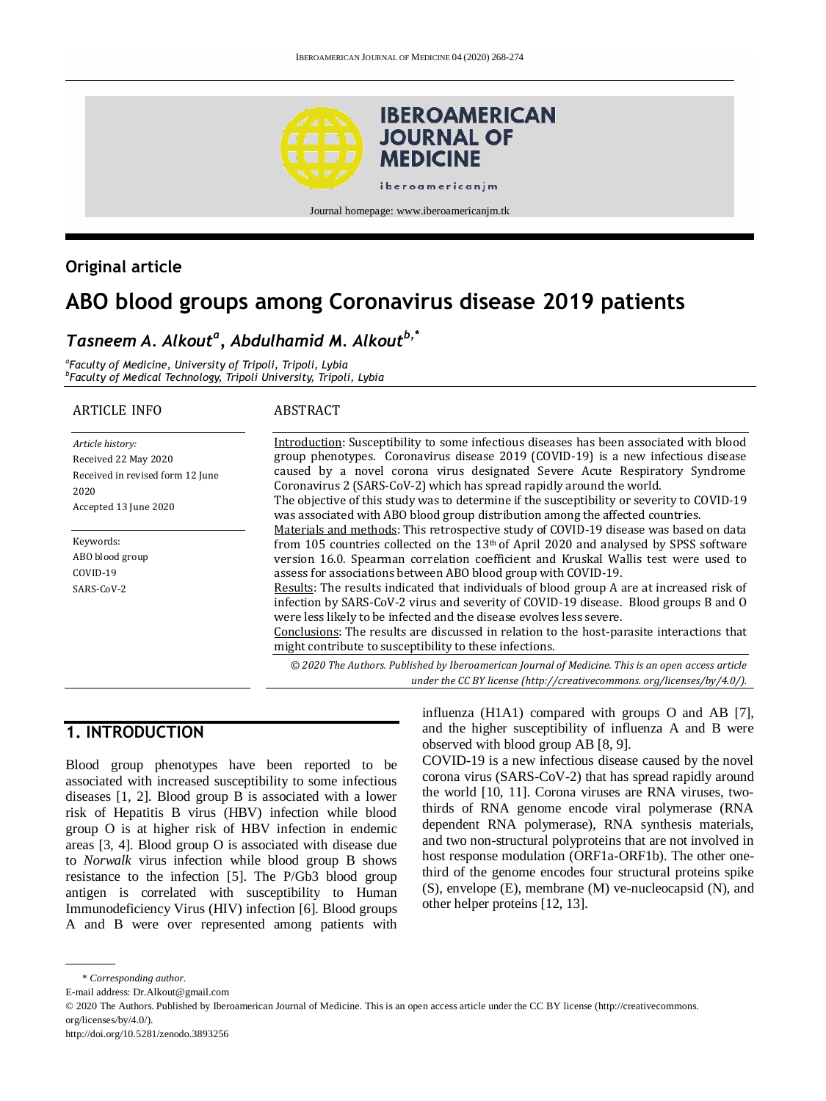

#### Journal homepage: www.iberoamericanjm.tk

## **Original article**

# **ABO blood groups among Coronavirus disease 2019 patients**

### *Tasneem A. Alkout<sup>a</sup> , Abdulhamid M. Alkoutb,\**

*a Faculty of Medicine, University of Tripoli, Tripoli, Lybia b Faculty of Medical Technology, Tripoli University, Tripoli, Lybia*

#### ARTICLE INFO

#### ABSTRACT

*Article history:* Received 22 May 2020 Received in revised form 12 June 2020 Accepted 13 June 2020

Keywords: ABO blood group COVID-19 SARS-CoV-2

Introduction: Susceptibility to some infectious diseases has been associated with blood group phenotypes. Coronavirus disease 2019 (COVID-19) is a new infectious disease caused by a novel corona virus designated Severe Acute Respiratory Syndrome Coronavirus 2 (SARS-CoV-2) which has spread rapidly around the world. The objective of this study was to determine if the susceptibility or severity to COVID-19 was associated with ABO blood group distribution among the affected countries. Materials and methods: This retrospective study of COVID-19 disease was based on data from 105 countries collected on the 13th of April 2020 and analysed by SPSS software version 16.0. Spearman correlation coefficient and Kruskal Wallis test were used to assess for associations between ABO blood group with COVID-19. Results: The results indicated that individuals of blood group A are at increased risk of infection by SARS-CoV-2 virus and severity of COVID-19 disease. Blood groups B and O were less likely to be infected and the disease evolves less severe. Conclusions: The results are discussed in relation to the host-parasite interactions that might contribute to susceptibility to these infections.

*© 2020 The Authors. Published by Iberoamerican Journal of Medicine. This is an open access article under the CC BY license (http:/[/creativecommons. org/licenses/by/4.0/\)](https://creativecommons.org/licenses/by/4.0/).*

### **1. INTRODUCTION**

Blood group phenotypes have been reported to be associated with increased susceptibility to some infectious diseases [1, 2]. Blood group B is associated with a lower risk of Hepatitis B virus (HBV) infection while blood group O is at higher risk of HBV infection in endemic areas [3, 4]. Blood group O is associated with disease due to *Norwalk* virus infection while blood group B shows resistance to the infection [5]. The P/Gb3 blood group antigen is correlated with susceptibility to Human Immunodeficiency Virus (HIV) infection [6]. Blood groups A and B were over represented among patients with

influenza (H1A1) compared with groups O and AB [7], and the higher susceptibility of influenza A and B were observed with blood group AB [8, 9].

COVID-19 is a new infectious disease caused by the novel corona virus (SARS-CoV-2) that has spread rapidly around the world [10, 11]. Corona viruses are RNA viruses, twothirds of RNA genome encode viral polymerase (RNA dependent RNA polymerase), RNA synthesis materials, and two non-structural polyproteins that are not involved in host response modulation (ORF1a-ORF1b). The other onethird of the genome encodes four structural proteins spike (S), envelope (E), membrane (M) ve-nucleocapsid (N), and other helper proteins [12, 13].

<sup>\*</sup> *Corresponding author.*

E-mail address: Dr.Alkout@gmail.com

<sup>© 2020</sup> The Authors. Published by Iberoamerican Journal of Medicine. This is an open access article under the CC BY license (http://creativecommons. org/licenses/by/4.0/).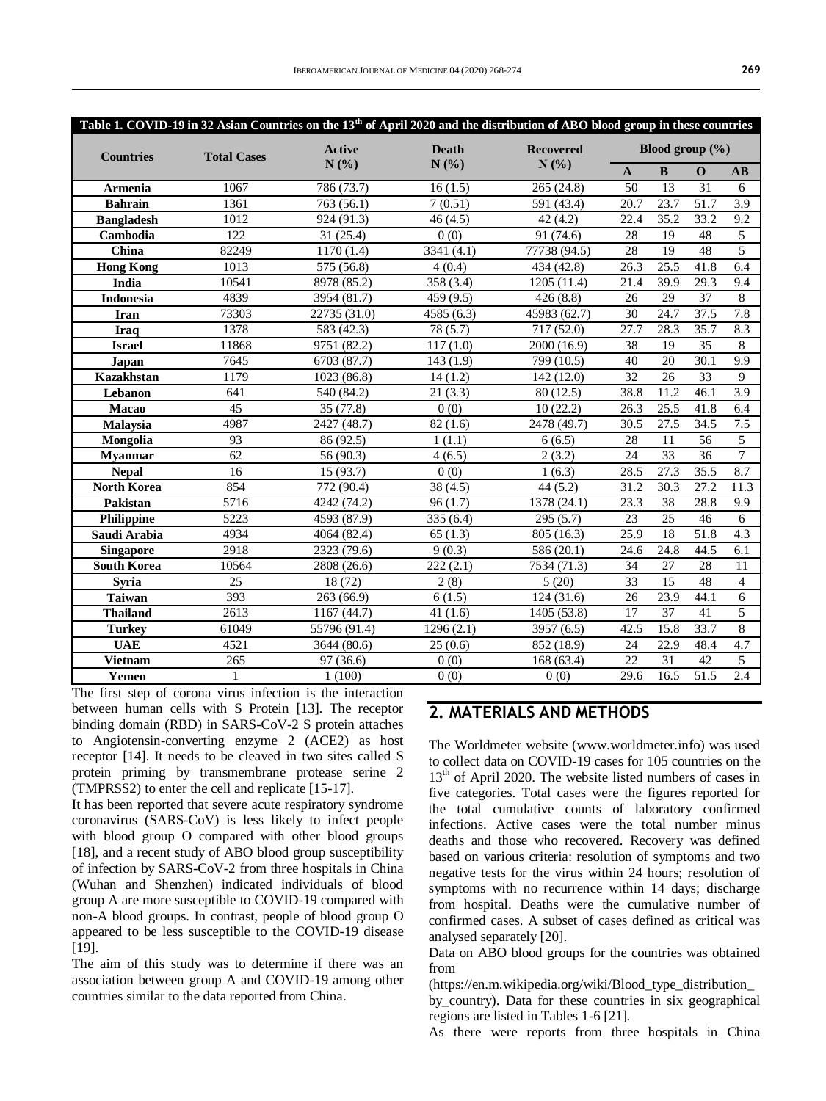|                    |                    | Table 1. COVID-19 in 32 Asian Countries on the 13 <sup>th</sup> of April 2020 and the distribution of ABO blood group in these countries |                   |                    |                     |                   |                   |                        |
|--------------------|--------------------|------------------------------------------------------------------------------------------------------------------------------------------|-------------------|--------------------|---------------------|-------------------|-------------------|------------------------|
| <b>Countries</b>   | <b>Total Cases</b> | <b>Active</b>                                                                                                                            | <b>Death</b>      | <b>Recovered</b>   | Blood group $(\% )$ |                   |                   |                        |
|                    |                    | N(%)<br>N(%)<br>N(%)                                                                                                                     |                   |                    | $\mathbf A$         | $\bf{B}$          | $\mathbf 0$       | $\mathbf{A}\mathbf{B}$ |
| Armenia            | 1067               | 786 (73.7)                                                                                                                               | 16(1.5)           | 265 (24.8)         | 50                  | 13                | 31                | 6                      |
| <b>Bahrain</b>     | 1361               | 763(56.1)                                                                                                                                | 7(0.51)           | 591 (43.4)         | 20.7                | 23.7              | 51.7              | $\overline{3.9}$       |
| <b>Bangladesh</b>  | 1012               | 924 (91.3)                                                                                                                               | 46(4.5)           | 42(4.2)            | 22.4                | 35.2              | 33.2              | 9.2                    |
| Cambodia           | 122                | 31(25.4)                                                                                                                                 | $\overline{0(0)}$ | 91(74.6)           | 28                  | 19                | 48                | $\overline{5}$         |
| China              | 82249              | 1170(1.4)                                                                                                                                | 3341 (4.1)        | 77738 (94.5)       | 28                  | 19                | 48                | 5                      |
| <b>Hong Kong</b>   | 1013               | 575(56.8)                                                                                                                                | 4(0.4)            | 434(42.8)          | 26.3                | 25.5              | 41.8              | 6.4                    |
| India              | 10541              | 8978 (85.2)                                                                                                                              | 358(3.4)          | 1205(11.4)         | 21.4                | 39.9              | $\overline{29.3}$ | 9.4                    |
| Indonesia          | 4839               | 3954 (81.7)                                                                                                                              | 459 (9.5)         | 426(8.8)           | 26                  | 29                | $\overline{37}$   | $\overline{8}$         |
| <b>Iran</b>        | 73303              | 22735 (31.0)                                                                                                                             | 4585 (6.3)        | 45983 (62.7)       | 30                  | 24.7              | 37.5              | 7.8                    |
| <b>Iraq</b>        | 1378               | 583(42.3)                                                                                                                                | 78(5.7)           | 717 (52.0)         | 27.7                | 28.3              | 35.7              | 8.3                    |
| <b>Israel</b>      | 11868              | 9751 (82.2)                                                                                                                              | 117(1.0)          | 2000(16.9)         | 38                  | 19                | $\overline{35}$   | 8                      |
| Japan              | 7645               | 6703 (87.7)                                                                                                                              | 143(1.9)          | 799 (10.5)         | 40                  | 20                | 30.1              | 9.9                    |
| <b>Kazakhstan</b>  | 1179               | 1023 (86.8)                                                                                                                              | 14(1.2)           | 142(12.0)          | $\overline{32}$     | $\overline{26}$   | $\overline{33}$   | 9                      |
| Lebanon            | 641                | 540 (84.2)                                                                                                                               | 21(3.3)           | 80(12.5)           | 38.8                | 11.2              | 46.1              | 3.9                    |
| Macao              | 45                 | 35 (77.8)                                                                                                                                | 0(0)              | 10(22.2)           | 26.3                | 25.5              | 41.8              | 6.4                    |
| Malaysia           | 4987               | 2427 (48.7)                                                                                                                              | 82(1.6)           | 2478 (49.7)        | 30.5                | $27.\overline{5}$ | 34.5              | 7.5                    |
| Mongolia           | 93                 | 86 (92.5)                                                                                                                                | 1(1.1)            | 6(6.5)             | 28                  | 11                | $\overline{56}$   | 5                      |
| <b>Myanmar</b>     | 62                 | 56 (90.3)                                                                                                                                | 4(6.5)            | 2(3.2)             | 24                  | 33                | 36                | $\overline{7}$         |
| <b>Nepal</b>       | 16                 | 15 (93.7)                                                                                                                                | 0(0)              | 1(6.3)             | 28.5                | 27.3              | 35.5              | 8.7                    |
| <b>North Korea</b> | 854                | 772 (90.4)                                                                                                                               | 38(4.5)           | 44(5.2)            | 31.2                | 30.3              | 27.2              | 11.3                   |
| Pakistan           | 5716               | 4242 (74.2)                                                                                                                              | 96(1.7)           | 1378(24.1)         | $\overline{23.3}$   | $\overline{38}$   | 28.8              | 9.9                    |
| Philippine         | 5223               | 4593 (87.9)                                                                                                                              | 335 (6.4)         | 295(5.7)           | 23                  | 25                | 46                | 6                      |
| Saudi Arabia       | 4934               | 4064 (82.4)                                                                                                                              | 65(1.3)           | 805 (16.3)         | 25.9                | $\overline{18}$   | 51.8              | $\overline{4.3}$       |
| <b>Singapore</b>   | 2918               | 2323 (79.6)                                                                                                                              | 9(0.3)            | 586 (20.1)         | 24.6                | 24.8              | 44.5              | 6.1                    |
| <b>South Korea</b> | 10564              | 2808 (26.6)                                                                                                                              | 222(2.1)          | 7534 (71.3)        | 34                  | $\overline{27}$   | 28                | 11                     |
| <b>Syria</b>       | 25                 | 18 (72)                                                                                                                                  | 2(8)              | 5(20)              | 33                  | $\overline{15}$   | 48                | $\overline{4}$         |
| <b>Taiwan</b>      | 393                | 263(66.9)                                                                                                                                | 6(1.5)            | 124(31.6)          | 26                  | 23.9              | 44.1              | $\overline{6}$         |
| <b>Thailand</b>    | 2613               | 1167(44.7)                                                                                                                               | 41(1.6)           | 1405 (53.8)        | $\overline{17}$     | 37                | 41                | $\overline{5}$         |
| <b>Turkey</b>      | 61049              | 55796 (91.4)                                                                                                                             | 1296(2.1)         | 3957 (6.5)         | 42.5                | 15.8              | 33.7              | 8                      |
| <b>UAE</b>         | 4521               | 3644(80.6)                                                                                                                               | 25(0.6)           | 852(18.9)          | 24                  | 22.9              | 48.4              | 4.7                    |
| <b>Vietnam</b>     | 265                | 97(36.6)                                                                                                                                 | $\overline{0(0)}$ | 168(63.4)          | 22                  | 31                | 42                | 5                      |
| Yemen              | $\mathbf{1}$       | 1(100)                                                                                                                                   | 0(0)              | $\overline{0}$ (0) | 29.6                | 16.5              | 51.5              | 2.4                    |

The first step of corona virus infection is the interaction between human cells with S Protein [13]. The receptor binding domain (RBD) in SARS-CoV-2 S protein attaches to Angiotensin-converting enzyme 2 (ACE2) as host receptor [14]. It needs to be cleaved in two sites called S protein priming by transmembrane protease serine 2 (TMPRSS2) to enter the cell and replicate [15-17].

It has been reported that severe acute respiratory syndrome coronavirus (SARS-CoV) is less likely to infect people with blood group O compared with other blood groups [18], and a recent study of ABO blood group susceptibility of infection by SARS-CoV-2 from three hospitals in China (Wuhan and Shenzhen) indicated individuals of blood group A are more susceptible to COVID-19 compared with non-A blood groups. In contrast, people of blood group O appeared to be less susceptible to the COVID-19 disease [19].

The aim of this study was to determine if there was an association between group A and COVID-19 among other countries similar to the data reported from China.

### **2. MATERIALS AND METHODS**

The Worldmeter website [\(www.worldmeter.info\)](www.worldmeter.info) was used to collect data on COVID-19 cases for 105 countries on the 13<sup>th</sup> of April 2020. The website listed numbers of cases in five categories. Total cases were the figures reported for the total cumulative counts of laboratory confirmed infections. Active cases were the total number minus deaths and those who recovered. Recovery was defined based on various criteria: resolution of symptoms and two negative tests for the virus within 24 hours; resolution of symptoms with no recurrence within 14 days; discharge from hospital. Deaths were the cumulative number of confirmed cases. A subset of cases defined as critical was analysed separately [20].

Data on ABO blood groups for the countries was obtained from

(https://en.m.wikipedia.org/wiki/Blood\_type\_distribution\_

by\_country). Data for these countries in six geographical regions are listed in Tables 1-6 [21].

As there were reports from three hospitals in China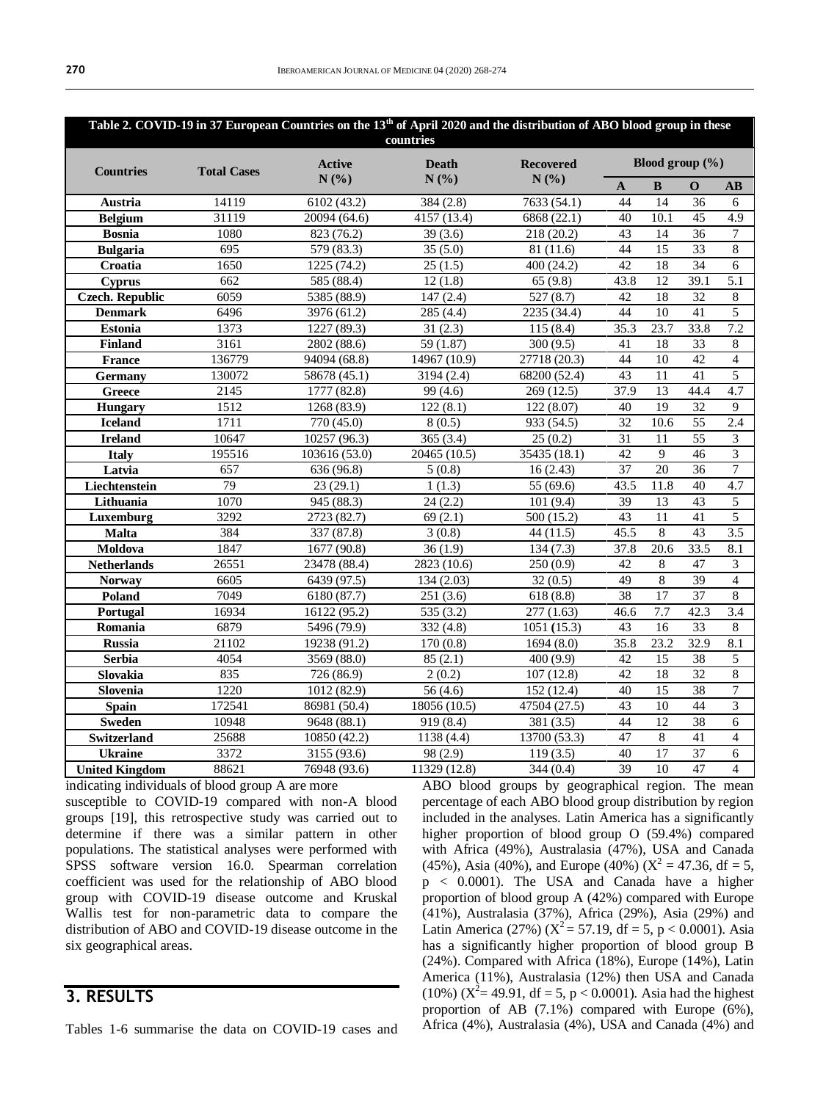| Table 2. COVID-19 in 37 European Countries on the 13 <sup>th</sup> of April 2020 and the distribution of ABO blood group in these<br>countries |                    |               |              |                  |                                    |                   |                 |                        |
|------------------------------------------------------------------------------------------------------------------------------------------------|--------------------|---------------|--------------|------------------|------------------------------------|-------------------|-----------------|------------------------|
|                                                                                                                                                |                    | <b>Active</b> | <b>Death</b> | <b>Recovered</b> | Blood group $(\% )$                |                   |                 |                        |
| <b>Countries</b>                                                                                                                               | <b>Total Cases</b> | N(%)          | N(%)         | N(%)             | $\mathbf{A}$                       | $\, {\bf B}$      | O               | $\mathbf{A}\mathbf{B}$ |
| Austria                                                                                                                                        | 14119              | 6102(43.2)    | 384(2.8)     | 7633(54.1)       | 44                                 | 14                | 36              | 6                      |
| <b>Belgium</b>                                                                                                                                 | 31119              | 20094 (64.6)  | 4157 (13.4)  | 6868 (22.1)      | 40                                 | 10.1              | 45              | 4.9                    |
| <b>Bosnia</b>                                                                                                                                  | 1080               | 823 (76.2)    | 39(3.6)      | 218 (20.2)       | 43                                 | 14                | 36              | 7                      |
| <b>Bulgaria</b>                                                                                                                                | 695                | 579 (83.3)    | 35(5.0)      | 81 (11.6)        | 44                                 | $\overline{15}$   | $\overline{33}$ | 8                      |
| Croatia                                                                                                                                        | 1650               | 1225(74.2)    | 25(1.5)      | 400 (24.2)       | $\overline{42}$                    | $\overline{18}$   | $\overline{34}$ | $\overline{6}$         |
| <b>Cyprus</b>                                                                                                                                  | 662                | 585 (88.4)    | 12(1.8)      | 65(9.8)          | 43.8                               | 12                | 39.1            | 5.1                    |
| <b>Czech. Republic</b>                                                                                                                         | 6059               | 5385 (88.9)   | 147(2.4)     | 527(8.7)         | 42                                 | 18                | 32              | $\,8\,$                |
| <b>Denmark</b>                                                                                                                                 | 6496               | 3976 (61.2)   | 285(4.4)     | 2235(34.4)       | 44                                 | 10                | 41              | 5                      |
| <b>Estonia</b>                                                                                                                                 | 1373               | 1227 (89.3)   | 31(2.3)      | 115(8.4)         | 35.3                               | 23.7              | 33.8            | 7.2                    |
| <b>Finland</b>                                                                                                                                 | $\frac{1}{3161}$   | 2802 (88.6)   | 59 (1.87)    | 300(9.5)         | 41                                 | 18                | 33              | 8                      |
| <b>France</b>                                                                                                                                  | 136779             | 94094 (68.8)  | 14967 (10.9) | 27718 (20.3)     | 44                                 | 10                | 42              | $\overline{4}$         |
| <b>Germany</b>                                                                                                                                 | 130072             | 58678 (45.1)  | 3194 (2.4)   | 68200 (52.4)     | 43                                 | 11                | 41              | 5                      |
| Greece                                                                                                                                         | 2145               | 1777 (82.8)   | 99 (4.6)     | 269 (12.5)       | 37.9                               | 13                | 44.4            | 4.7                    |
| <b>Hungary</b>                                                                                                                                 | 1512               | 1268(83.9)    | 122(8.1)     | 122(8.07)        | 40                                 | 19                | 32              | $\overline{9}$         |
| <b>Iceland</b>                                                                                                                                 | 1711               | 770(45.0)     | 8(0.5)       | 933(54.5)        | 32                                 | 10.6              | 55              | 2.4                    |
| <b>Ireland</b>                                                                                                                                 | 10647              | 10257 (96.3)  | 365(3.4)     | 25(0.2)          | 31                                 | 11                | 55              | $\mathfrak{Z}$         |
| <b>Italy</b>                                                                                                                                   | 195516             | 103616 (53.0) | 20465 (10.5) | 35435 (18.1)     | $\overline{42}$                    | 9                 | 46              | 3                      |
| Latvia                                                                                                                                         | 657                | 636 (96.8)    | 5(0.8)       | 16(2.43)         | $\overline{37}$                    | $\overline{20}$   | $\overline{36}$ | $\overline{7}$         |
| Liechtenstein                                                                                                                                  | 79                 | 23(29.1)      | 1(1.3)       | 55 (69.6)        | 43.5                               | 11.8              | 40              | 4.7                    |
| Lithuania                                                                                                                                      | 1070               | 945 (88.3)    | 24(2.2)      | 101(9.4)         | 39                                 | 13                | 43              | 5                      |
| Luxemburg                                                                                                                                      | 3292               | 2723 (82.7)   | 69(2.1)      | 500 (15.2)       | 43                                 | 11                | 41              | 5                      |
| <b>Malta</b>                                                                                                                                   | 384                | 337(87.8)     | 3(0.8)       | 44(11.5)         | 45.5                               | $\overline{8}$    | 43              | 3.5                    |
| Moldova                                                                                                                                        | 1847               | 1677(90.8)    | 36(1.9)      | 134(7.3)         | $37.\overline{8}$                  | $\overline{20.6}$ | 33.5            | 8.1                    |
| <b>Netherlands</b>                                                                                                                             | 26551              | 23478 (88.4)  | 2823 (10.6)  | 250(0.9)         | $\overline{42}$                    | $\overline{8}$    | $\overline{47}$ | $\overline{3}$         |
| <b>Norway</b>                                                                                                                                  | 6605               | 6439 (97.5)   | 134(2.03)    | 32(0.5)          | 49                                 | $\overline{8}$    | $\overline{39}$ | $\overline{4}$         |
| Poland                                                                                                                                         | 7049               | 6180 (87.7)   | 251(3.6)     | 618(8.8)         | $\overline{38}$                    | $\overline{17}$   | $\overline{37}$ | 8                      |
| Portugal                                                                                                                                       | 16934              | 16122 (95.2)  | 535(3.2)     | 277(1.63)        | 46.6                               | 7.7               | 42.3            | 3.4                    |
| Romania                                                                                                                                        | 6879               | 5496 (79.9)   | 332(4.8)     | 1051(15.3)       | 43                                 | 16                | 33              | 8                      |
| <b>Russia</b>                                                                                                                                  | 21102              | 19238 (91.2)  | 170(0.8)     | 1694(8.0)        | 35.8                               | 23.2              | 32.9            | 8.1                    |
| <b>Serbia</b>                                                                                                                                  | 4054               | 3569 (88.0)   | 85(2.1)      | 400 (9.9)        | 42                                 | 15                | 38              | 5                      |
| Slovakia                                                                                                                                       | 835                | 726 (86.9)    | 2(0.2)       | 107(12.8)        | 42                                 | $\overline{18}$   | $\overline{32}$ | 8                      |
| Slovenia                                                                                                                                       | 1220               | 1012 (82.9)   | 56(4.6)      | 152(12.4)        | 40                                 | $\overline{15}$   | $\overline{38}$ | $\overline{7}$         |
| Spain                                                                                                                                          | 172541             | 86981 (50.4)  | 18056 (10.5) | 47504 (27.5)     | $\overline{43}$<br>$\overline{10}$ |                   | 44              | $\overline{3}$         |
| <b>Sweden</b>                                                                                                                                  | 10948              | 9648 (88.1)   | 919 (8.4)    | 381 (3.5)        | 44                                 | $\overline{12}$   | $\overline{38}$ | 6                      |
| <b>Switzerland</b>                                                                                                                             | 25688              | 10850 (42.2)  | 1138 (4.4)   | 13700 (53.3)     | $\overline{47}$                    | $\overline{8}$    | $\overline{41}$ | $\overline{4}$         |
| <b>Ukraine</b>                                                                                                                                 | 3372               | 3155 (93.6)   | 98 (2.9)     | 119(3.5)         | 40                                 | $\overline{17}$   | $\overline{37}$ | 6                      |
| <b>United Kingdom</b>                                                                                                                          | 88621              | 76948 (93.6)  | 11329 (12.8) | 344(0.4)         | 39                                 | 10                | 47              | $\overline{4}$         |

indicating individuals of blood group A are more

susceptible to COVID-19 compared with non-A blood groups [19], this retrospective study was carried out to determine if there was a similar pattern in other populations. The statistical analyses were performed with SPSS software version 16.0. Spearman correlation coefficient was used for the relationship of ABO blood group with COVID-19 disease outcome and Kruskal Wallis test for non-parametric data to compare the distribution of ABO and COVID-19 disease outcome in the six geographical areas.

#### **3. RESULTS**

Tables 1-6 summarise the data on COVID-19 cases and

ABO blood groups by geographical region. The mean percentage of each ABO blood group distribution by region included in the analyses. Latin America has a significantly higher proportion of blood group O (59.4%) compared with Africa (49%), Australasia (47%), USA and Canada (45%), Asia (40%), and Europe (40%) ( $X^2 = 47.36$ , df = 5, p < 0.0001). The USA and Canada have a higher proportion of blood group A (42%) compared with Europe (41%), Australasia (37%), Africa (29%), Asia (29%) and Latin America (27%) ( $X^2 = 57.19$ , df = 5, p < 0.0001). Asia has a significantly higher proportion of blood group B (24%). Compared with Africa (18%), Europe (14%), Latin America (11%), Australasia (12%) then USA and Canada (10%) ( $X^2 = 49.91$ , df = 5, p < 0.0001). Asia had the highest proportion of AB (7.1%) compared with Europe (6%), Africa (4%), Australasia (4%), USA and Canada (4%) and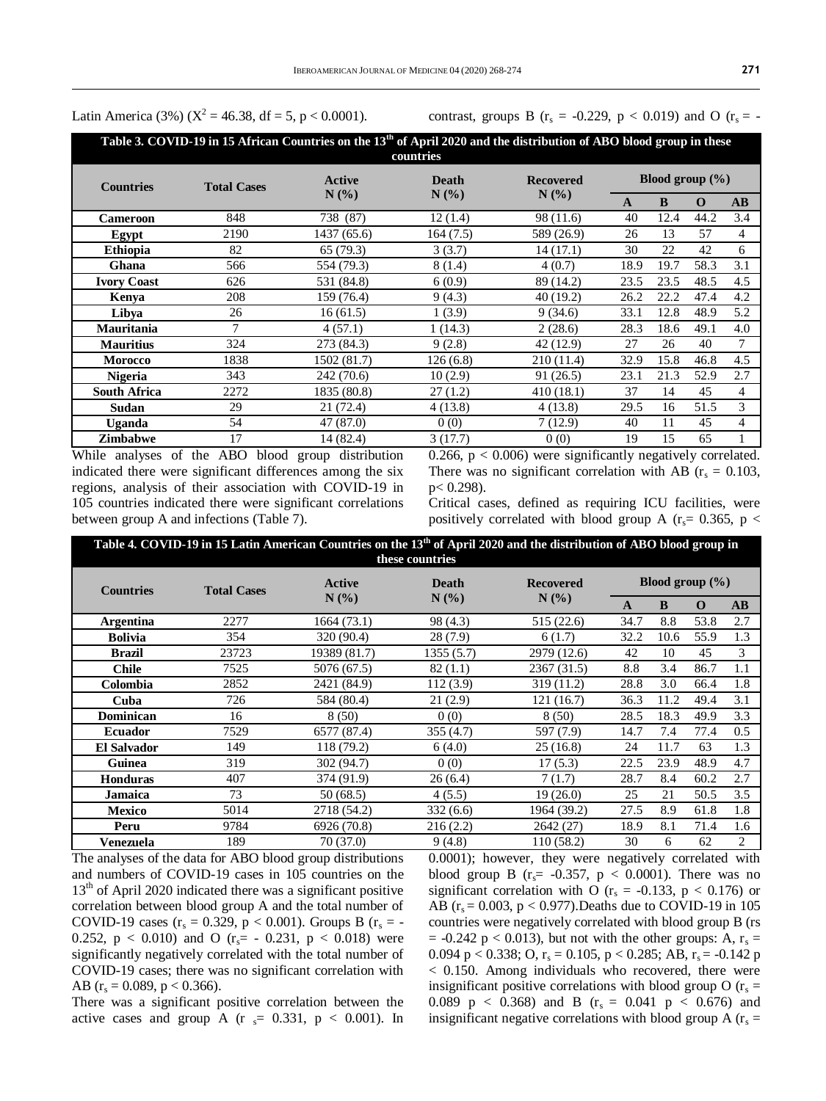Latin America (3%) ( $X^2 = 46.38$ , df = 5, p < 0.0001).

contrast, groups B ( $r_s = -0.229$ ,  $p < 0.019$ ) and O ( $r_s = -0.229$ )

| Table 3. COVID-19 in 15 African Countries on the 13 <sup>th</sup> of April 2020 and the distribution of ABO blood group in these<br>countries |                    |               |          |                                                    |                     |      |          |                        |
|-----------------------------------------------------------------------------------------------------------------------------------------------|--------------------|---------------|----------|----------------------------------------------------|---------------------|------|----------|------------------------|
| <b>Countries</b>                                                                                                                              | <b>Total Cases</b> | <b>Active</b> | Death    | <b>Recovered</b><br>$N$ $\left(\frac{9}{6}\right)$ | Blood group $(\% )$ |      |          |                        |
|                                                                                                                                               |                    | $N(\%)$       | N(%      |                                                    | A                   | B    | $\Omega$ | $\mathbf{A}\mathbf{B}$ |
| <b>Cameroon</b>                                                                                                                               | 848                | 738 (87)      | 12(1.4)  | 98 (11.6)                                          | 40                  | 12.4 | 44.2     | 3.4                    |
| Egypt                                                                                                                                         | 2190               | 1437 (65.6)   | 164(7.5) | 589 (26.9)                                         | 26                  | 13   | 57       | 4                      |
| <b>Ethiopia</b>                                                                                                                               | 82                 | 65(79.3)      | 3(3.7)   | 14 (17.1)                                          | 30                  | 22   | 42       | 6                      |
| Ghana                                                                                                                                         | 566                | 554 (79.3)    | 8(1.4)   | 4(0.7)                                             | 18.9                | 19.7 | 58.3     | 3.1                    |
| <b>Ivory Coast</b>                                                                                                                            | 626                | 531 (84.8)    | 6(0.9)   | 89 (14.2)                                          | 23.5                | 23.5 | 48.5     | 4.5                    |
| Kenya                                                                                                                                         | 208                | 159 (76.4)    | 9(4.3)   | 40(19.2)                                           | 26.2                | 22.2 | 47.4     | 4.2                    |
| Libya                                                                                                                                         | 26                 | 16(61.5)      | 1(3.9)   | 9(34.6)                                            | 33.1                | 12.8 | 48.9     | 5.2                    |
| <b>Mauritania</b>                                                                                                                             | 7                  | 4(57.1)       | 1(14.3)  | 2(28.6)                                            | 28.3                | 18.6 | 49.1     | 4.0                    |
| <b>Mauritius</b>                                                                                                                              | 324                | 273 (84.3)    | 9(2.8)   | 42(12.9)                                           | 27                  | 26   | 40       | 7                      |
| <b>Morocco</b>                                                                                                                                | 1838               | 1502 (81.7)   | 126(6.8) | 210 (11.4)                                         | 32.9                | 15.8 | 46.8     | 4.5                    |
| <b>Nigeria</b>                                                                                                                                | 343                | 242 (70.6)    | 10(2.9)  | 91(26.5)                                           | 23.1                | 21.3 | 52.9     | 2.7                    |
| <b>South Africa</b>                                                                                                                           | 2272               | 1835 (80.8)   | 27(1.2)  | 410(18.1)                                          | 37                  | 14   | 45       | 4                      |
| Sudan                                                                                                                                         | 29                 | 21 (72.4)     | 4(13.8)  | 4(13.8)                                            | 29.5                | 16   | 51.5     | 3                      |
| Uganda                                                                                                                                        | 54                 | 47 (87.0)     | 0(0)     | 7(12.9)                                            | 40                  | 11   | 45       | 4                      |
| <b>Zimbabwe</b>                                                                                                                               | 17                 | 14 (82.4)     | 3(17.7)  | 0(0)                                               | 19                  | 15   | 65       | 1                      |

While analyses of the ABO blood group distribution indicated there were significant differences among the six regions, analysis of their association with COVID-19 in 105 countries indicated there were significant correlations between group A and infections (Table 7).

0.266,  $p < 0.006$ ) were significantly negatively correlated. There was no significant correlation with AB ( $r_s = 0.103$ , p< 0.298).

Critical cases, defined as requiring ICU facilities, were positively correlated with blood group A ( $r_s$ = 0.365, p <

|                    | Table 4. COVID-19 in 15 Latin American Countries on the 13 <sup>th</sup> of April 2020 and the distribution of ABO blood group in<br>these countries |               |              |                                                    |                     |      |      |                        |  |
|--------------------|------------------------------------------------------------------------------------------------------------------------------------------------------|---------------|--------------|----------------------------------------------------|---------------------|------|------|------------------------|--|
| <b>Countries</b>   | <b>Total Cases</b>                                                                                                                                   | <b>Active</b> | <b>Death</b> | <b>Recovered</b><br>$N$ $\left(\frac{9}{6}\right)$ | Blood group $(\% )$ |      |      |                        |  |
|                    |                                                                                                                                                      | N(%)          | N(%          |                                                    | $\mathbf{A}$        | B    | 0    | $\mathbf{A}\mathbf{B}$ |  |
| <b>Argentina</b>   | 2277                                                                                                                                                 | 1664(73.1)    | 98 (4.3)     | 515 (22.6)                                         | 34.7                | 8.8  | 53.8 | 2.7                    |  |
| <b>Bolivia</b>     | 354                                                                                                                                                  | 320 (90.4)    | 28(7.9)      | 6(1.7)                                             | 32.2                | 10.6 | 55.9 | 1.3                    |  |
| <b>Brazil</b>      | 23723                                                                                                                                                | 19389 (81.7)  | 1355 (5.7)   | 2979 (12.6)                                        | 42                  | 10   | 45   | 3                      |  |
| <b>Chile</b>       | 7525                                                                                                                                                 | 5076 (67.5)   | 82(1.1)      | 2367 (31.5)                                        | 8.8                 | 3.4  | 86.7 | 1.1                    |  |
| Colombia           | 2852                                                                                                                                                 | 2421 (84.9)   | 112(3.9)     | 319 (11.2)                                         | 28.8                | 3.0  | 66.4 | 1.8                    |  |
| Cuba               | 726                                                                                                                                                  | 584 (80.4)    | 21(2.9)      | 121 (16.7)                                         | 36.3                | 11.2 | 49.4 | 3.1                    |  |
| <b>Dominican</b>   | 16                                                                                                                                                   | 8(50)         | 0(0)         | 8(50)                                              | 28.5                | 18.3 | 49.9 | 3.3                    |  |
| <b>Ecuador</b>     | 7529                                                                                                                                                 | 6577 (87.4)   | 355 (4.7)    | 597 (7.9)                                          | 14.7                | 7.4  | 77.4 | 0.5                    |  |
| <b>El Salvador</b> | 149                                                                                                                                                  | 118 (79.2)    | 6(4.0)       | 25(16.8)                                           | 24                  | 11.7 | 63   | 1.3                    |  |
| Guinea             | 319                                                                                                                                                  | 302 (94.7)    | 0(0)         | 17(5.3)                                            | 22.5                | 23.9 | 48.9 | 4.7                    |  |
| <b>Honduras</b>    | 407                                                                                                                                                  | 374 (91.9)    | 26(6.4)      | 7(1.7)                                             | 28.7                | 8.4  | 60.2 | 2.7                    |  |
| <b>Jamaica</b>     | 73                                                                                                                                                   | 50(68.5)      | 4(5.5)       | 19(26.0)                                           | 25                  | 21   | 50.5 | 3.5                    |  |
| <b>Mexico</b>      | 5014                                                                                                                                                 | 2718 (54.2)   | 332(6.6)     | 1964 (39.2)                                        | 27.5                | 8.9  | 61.8 | 1.8                    |  |
| Peru               | 9784                                                                                                                                                 | 6926 (70.8)   | 216(2.2)     | 2642 (27)                                          | 18.9                | 8.1  | 71.4 | 1.6                    |  |
| Venezuela          | 189                                                                                                                                                  | 70 (37.0)     | 9(4.8)       | 110 (58.2)                                         | 30                  | 6    | 62   | 2                      |  |

The analyses of the data for ABO blood group distributions and numbers of COVID-19 cases in 105 countries on the 13<sup>th</sup> of April 2020 indicated there was a significant positive correlation between blood group A and the total number of COVID-19 cases ( $r_s = 0.329$ ,  $p < 0.001$ ). Groups B ( $r_s = -$ 0.252,  $p < 0.010$ ) and O ( $r_s = -0.231$ ,  $p < 0.018$ ) were significantly negatively correlated with the total number of COVID-19 cases; there was no significant correlation with AB ( $r_s = 0.089$ ,  $p < 0.366$ ).

There was a significant positive correlation between the active cases and group A ( $r_s$  = 0.331,  $p < 0.001$ ). In 0.0001); however, they were negatively correlated with blood group B ( $r_s$ = -0.357, p < 0.0001). There was no significant correlation with O ( $r_s = -0.133$ ,  $p < 0.176$ ) or AB ( $r_s = 0.003$ ,  $p < 0.977$ ). Deaths due to COVID-19 in 105 countries were negatively correlated with blood group B (rs  $= -0.242$  p  $< 0.013$ ), but not with the other groups: A, r<sub>s</sub> = 0.094 p < 0.338; O,  $r_s = 0.105$ , p < 0.285; AB,  $r_s = -0.142$  p < 0.150. Among individuals who recovered, there were insignificant positive correlations with blood group O  $(r_s =$ 0.089  $p < 0.368$ ) and B ( $r_s = 0.041$   $p < 0.676$ ) and insignificant negative correlations with blood group A  $(r<sub>s</sub> =$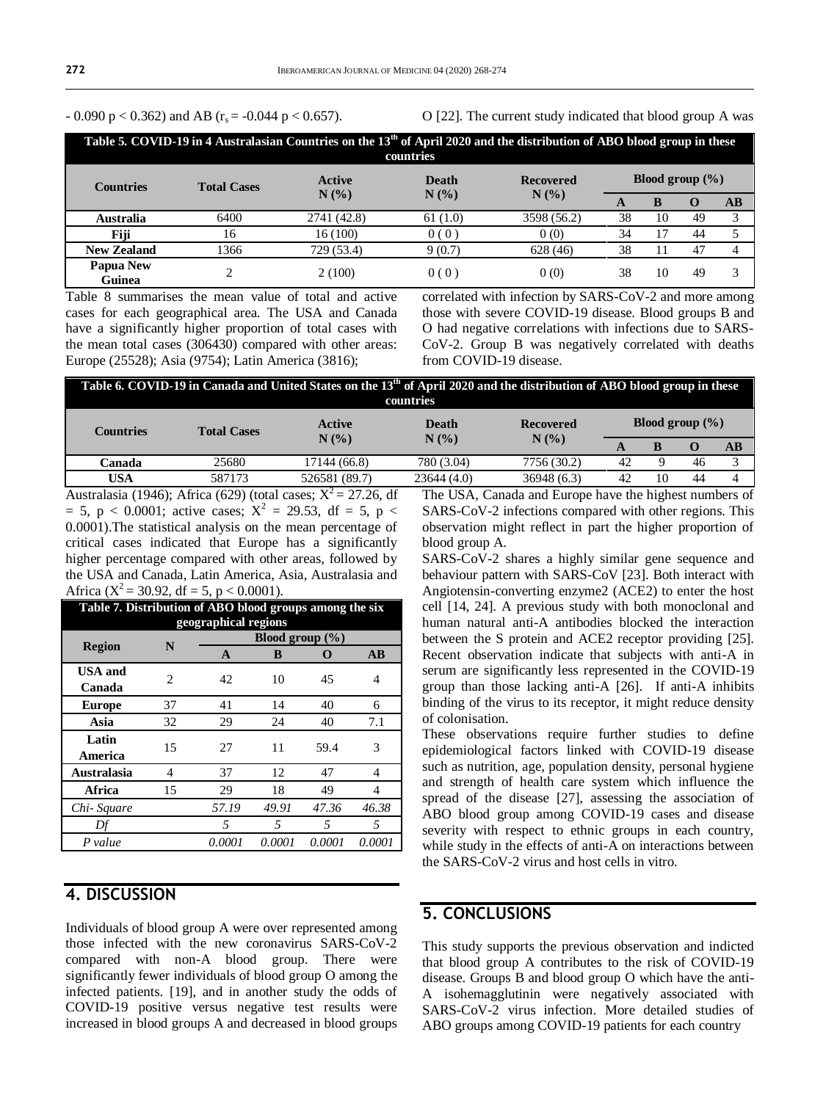- 0.090 p < 0.362) and AB ( $r_s$  = -0.044 p < 0.657).

O [22]. The current study indicated that blood group A was

| Table 5. COVID-19 in 4 Australasian Countries on the 13 <sup>th</sup> of April 2020 and the distribution of ABO blood group in these<br>countries |                    |                                          |                                                |                                |                     |    |     |    |  |
|---------------------------------------------------------------------------------------------------------------------------------------------------|--------------------|------------------------------------------|------------------------------------------------|--------------------------------|---------------------|----|-----|----|--|
| <b>Countries</b>                                                                                                                                  | <b>Total Cases</b> | Active<br>$N$ $\left(\frac{9}{6}\right)$ | <b>Death</b><br>$N$ $\left(\frac{9}{6}\right)$ | <b>Recovered</b>               | Blood group $(\% )$ |    |     |    |  |
|                                                                                                                                                   |                    |                                          |                                                | $N$ $\left(\frac{9}{6}\right)$ | A                   | B  | O   | AВ |  |
| Australia                                                                                                                                         | 6400               | 2741 (42.8)                              | 61(1.0)                                        | 3598 (56.2)                    | 38                  | 10 | 49  |    |  |
| Fiji                                                                                                                                              | 16                 | 16(100)                                  | 0(0)                                           | 0(0)                           | 34                  |    | 44  |    |  |
| <b>New Zealand</b>                                                                                                                                | 1366               | 729 (53.4)                               | 9(0.7)                                         | 628 (46)                       | 38                  |    | -47 |    |  |
| <b>Papua New</b><br>Guinea                                                                                                                        |                    | 2(100)                                   | 0(0)                                           | 0(0)                           | 38                  | 10 | 49  |    |  |

Table 8 summarises the mean value of total and active cases for each geographical area. The USA and Canada have a significantly higher proportion of total cases with the mean total cases (306430) compared with other areas: Europe (25528); Asia (9754); Latin America (3816);

correlated with infection by SARS-CoV-2 and more among those with severe COVID-19 disease. Blood groups B and O had negative correlations with infections due to SARS-CoV-2. Group B was negatively correlated with deaths from COVID-19 disease.

| Table 6. COVID-19 in Canada and United States on the 13 <sup>th</sup> of April 2020 and the distribution of ABO blood group in these<br>countries |                    |                                                                   |              |                                                        |                     |    |          |          |  |
|---------------------------------------------------------------------------------------------------------------------------------------------------|--------------------|-------------------------------------------------------------------|--------------|--------------------------------------------------------|---------------------|----|----------|----------|--|
| <b>Countries</b>                                                                                                                                  | <b>Total Cases</b> | Active<br>$N$ $\left(\frac{9}{6}\right)$                          | <b>Death</b> | <b>Recovered</b>                                       | Blood group $(\% )$ |    |          |          |  |
|                                                                                                                                                   |                    |                                                                   | N(%          | $N$ $\left(\frac{9}{6}\right)$                         | A                   | B  | $\Omega$ | $\bf AB$ |  |
| Canada                                                                                                                                            | 25680              | 17144 (66.8)                                                      | 780 (3.04)   | 7756 (30.2)                                            | 42                  | Q  | 46       |          |  |
| USA                                                                                                                                               | 587173             | 526581 (89.7)                                                     | 23644(4.0)   | 36948(6.3)                                             | 42                  | 10 | 44       |          |  |
|                                                                                                                                                   |                    | Australasia (1946); Africa (629) (total cases; $X^2 = 27.26$ , df |              | The USA, Canada and Europe have the highest numbers of |                     |    |          |          |  |

 $= 5$ , p < 0.0001; active cases;  $X^2 = 29.53$ , df = 5, p < 0.0001).The statistical analysis on the mean percentage of critical cases indicated that Europe has a significantly higher percentage compared with other areas, followed by the USA and Canada, Latin America, Asia, Australasia and Africa ( $X^2$  = 30.92, df = 5, p < 0.0001).

| Table 7. Distribution of ABO blood groups among the six<br>geographical regions |    |                     |        |        |        |  |  |  |
|---------------------------------------------------------------------------------|----|---------------------|--------|--------|--------|--|--|--|
|                                                                                 | N  | Blood group $(\% )$ |        |        |        |  |  |  |
| <b>Region</b>                                                                   |    | A                   | B      |        | AB     |  |  |  |
| <b>USA</b> and<br>Canada                                                        | 2  | 42                  | 10     | 45     | 4      |  |  |  |
| <b>Europe</b>                                                                   | 37 | 41                  | 14     | 40     | 6      |  |  |  |
| Asia                                                                            | 32 | 29                  | 24     | 40     | 7.1    |  |  |  |
| Latin<br>America                                                                | 15 | 27                  | 11     | 59.4   | 3      |  |  |  |
| <b>Australasia</b>                                                              | 4  | 37                  | 12     | 47     | 4      |  |  |  |
| Africa                                                                          | 15 | 29                  | 18     | 49     | 4      |  |  |  |
| Chi-Square                                                                      |    | 57.19               | 49.91  | 47.36  | 46.38  |  |  |  |
| Df                                                                              |    | 5                   | 5      | 5      | 5      |  |  |  |
| P value                                                                         |    | 0.0001              | 0.0001 | 0.0001 | 0.0001 |  |  |  |

#### **4. DISCUSSION**

Individuals of blood group A were over represented among those infected with the new coronavirus SARS-CoV-2 compared with non-A blood group. There were significantly fewer individuals of blood group O among the infected patients. [19], and in another study the odds of COVID-19 positive versus negative test results were increased in blood groups A and decreased in blood groups

The USA, Canada and Europe have the highest numbers of SARS-CoV-2 infections compared with other regions. This observation might reflect in part the higher proportion of blood group A.

SARS-CoV-2 shares a highly similar gene sequence and behaviour pattern with SARS-CoV [23]. Both interact with Angiotensin-converting enzyme2 (ACE2) to enter the host cell [14, 24]. A previous study with both monoclonal and human natural anti-A antibodies blocked the interaction between the S protein and ACE2 receptor providing [25]. Recent observation indicate that subjects with anti-A in serum are significantly less represented in the COVID-19 group than those lacking anti-A [26]. If anti-A inhibits binding of the virus to its receptor, it might reduce density of colonisation.

These observations require further studies to define epidemiological factors linked with COVID-19 disease such as nutrition, age, population density, personal hygiene and strength of health care system which influence the spread of the disease [27], assessing the association of ABO blood group among COVID-19 cases and disease severity with respect to ethnic groups in each country, while study in the effects of anti-A on interactions between the SARS-CoV-2 virus and host cells in vitro.

#### **5. CONCLUSIONS**

This study supports the previous observation and indicted that blood group A contributes to the risk of COVID-19 disease. Groups B and blood group O which have the anti-A isohemagglutinin were negatively associated with SARS-CoV-2 virus infection. More detailed studies of ABO groups among COVID-19 patients for each country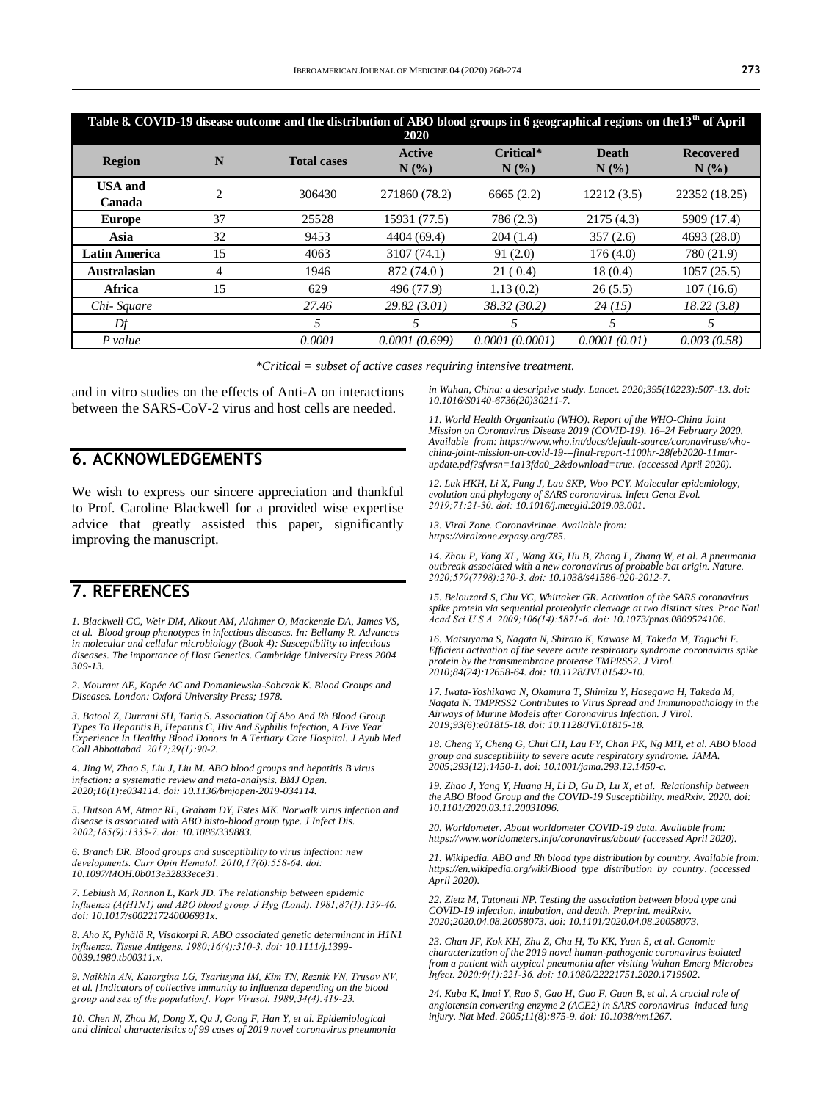| Table 8. COVID-19 disease outcome and the distribution of ABO blood groups in 6 geographical regions on the13 <sup>th</sup> of April<br>2020 |                |                    |                                                 |                                             |                                                |                                                    |  |  |  |
|----------------------------------------------------------------------------------------------------------------------------------------------|----------------|--------------------|-------------------------------------------------|---------------------------------------------|------------------------------------------------|----------------------------------------------------|--|--|--|
| Region                                                                                                                                       | N              | <b>Total cases</b> | <b>Active</b><br>$N$ $\left(\frac{9}{6}\right)$ | Critical*<br>$N$ $\left(\frac{9}{6}\right)$ | <b>Death</b><br>$N$ $\left(\frac{9}{6}\right)$ | <b>Recovered</b><br>$N$ $\left(\frac{9}{6}\right)$ |  |  |  |
| <b>USA</b> and<br>Canada                                                                                                                     | $\overline{2}$ | 306430             | 271860 (78.2)                                   | 6665(2.2)                                   | 12212(3.5)                                     | 22352 (18.25)                                      |  |  |  |
| <b>Europe</b>                                                                                                                                | 37             | 25528              | 15931 (77.5)                                    | 786 (2.3)                                   | 2175(4.3)                                      | 5909 (17.4)                                        |  |  |  |
| Asia                                                                                                                                         | 32             | 9453               | 4404 (69.4)                                     | 204(1.4)                                    | 357(2.6)                                       | 4693 (28.0)                                        |  |  |  |
| <b>Latin America</b>                                                                                                                         | 15             | 4063               | 3107(74.1)                                      | 91(2.0)                                     | 176(4.0)                                       | 780 (21.9)                                         |  |  |  |
| <b>Australasian</b>                                                                                                                          | 4              | 1946               | 872 (74.0)                                      | 21(0.4)                                     | 18(0.4)                                        | 1057(25.5)                                         |  |  |  |
| <b>Africa</b>                                                                                                                                | 15             | 629                | 496 (77.9)                                      | 1.13(0.2)                                   | 26(5.5)                                        | 107(16.6)                                          |  |  |  |
| Chi-Square                                                                                                                                   |                | 27.46              | 29.82(3.01)                                     | 38.32(30.2)                                 | 24(15)                                         | 18.22(3.8)                                         |  |  |  |
| Df                                                                                                                                           |                | 5                  | 5                                               | 5                                           |                                                | 5                                                  |  |  |  |
| P value                                                                                                                                      |                | 0.0001             | 0.0001(0.699)                                   | 0.0001(0.0001)                              | 0.0001(0.01)                                   | 0.003(0.58)                                        |  |  |  |

*\*Critical = subset of active cases requiring intensive treatment.*

and in vitro studies on the effects of Anti-A on interactions between the SARS-CoV-2 virus and host cells are needed.

#### **6. ACKNOWLEDGEMENTS**

We wish to express our sincere appreciation and thankful to Prof. Caroline Blackwell for a provided wise expertise advice that greatly assisted this paper, significantly improving the manuscript.

### **7. REFERENCES**

*1. Blackwell CC, Weir DM, Alkout AM, Alahmer O, Mackenzie DA, James VS, et al. Blood group phenotypes in infectious diseases. In: Bellamy R. Advances in molecular and cellular microbiology (Book 4): Susceptibility to infectious diseases. The importance of Host Genetics. Cambridge University Press 2004 309-13.*

*2. Mourant AE, Kopéc AC and Domaniewska-Sobczak K. Blood Groups and Diseases. London: Oxford University Press; 1978.* 

*3. Batool Z, Durrani SH, Tariq S. Association Of Abo And Rh Blood Group Types To Hepatitis B, Hepatitis C, Hiv And Syphilis Infection, A Five Year' Experience In Healthy Blood Donors In A Tertiary Care Hospital. J Ayub Med Coll Abbottabad. 2017;29(1):90‐2.*

*4. Jing W, Zhao S, Liu J, Liu M. ABO blood groups and hepatitis B virus infection: a systematic review and meta-analysis. BMJ Open. 2020;10(1):e034114. doi[: 10.1136/bmjopen-2019-034114.](https://doi.org/10.1136/bmjopen-2019-034114)* 

*5. Hutson AM, Atmar RL, Graham DY, Estes MK. Norwalk virus infection and disease is associated with ABO histo-blood group type. J Infect Dis. 2002;185(9):1335‐7. doi[: 10.1086/339883.](https://doi.org/10.1086/339883)* 

*6. Branch DR. Blood groups and susceptibility to virus infection: new developments. Curr Opin Hematol. 2010;17(6):558‐64. doi: [10.1097/MOH.0b013e32833ece31.](https://doi.org/10.1097/moh.0b013e32833ece31)* 

*7. Lebiush M, Rannon L, Kark JD. The relationship between epidemic influenza (A(H1N1) and ABO blood group. J Hyg (Lond). 1981;87(1):139‐46. doi[: 10.1017/s002217240006931x.](https://doi.org/10.1017/s002217240006931x)* 

*8. Aho K, Pyhälä R, Visakorpi R. ABO associated genetic determinant in H1N1 influenza. Tissue Antigens. 1980;16(4):310‐3. doi[: 10.1111/j.1399-](https://doi.org/10.1111/j.1399-0039.1980.tb00311.x) [0039.1980.tb00311.x.](https://doi.org/10.1111/j.1399-0039.1980.tb00311.x)* 

*9. Naĭkhin AN, Katorgina LG, Tsaritsyna IM, Kim TN, Reznik VN, Trusov NV, et al. [Indicators of collective immunity to influenza depending on the blood group and sex of the population]. Vopr Virusol. 1989;34(4):419‐23.*

*10. Chen N, Zhou M, Dong X, Qu J, Gong F, Han Y, et al. Epidemiological and clinical characteristics of 99 cases of 2019 novel coronavirus pneumonia*  *in Wuhan, China: a descriptive study. Lancet. 2020;395(10223):507-13. doi: [10.1016/S0140-6736\(20\)30211-7.](https://doi.org/10.1016/s0140-6736(20)30211-7)*

*11. World Health Organizatio (WHO). Report of the WHO-China Joint Mission on Coronavirus Disease 2019 (COVID-19). 16–24 February 2020. Available from: [https://www.who.int/docs/default-source/coronaviruse/who](https://www.who.int/docs/default-source/coronaviruse/who-china-joint-mission-on-covid-19---final-report-1100hr-28feb2020-11mar-update.pdf?sfvrsn=1a13fda0_2&download=true)[china-joint-mission-on-covid-19---final-report-1100hr-28feb2020-11mar](https://www.who.int/docs/default-source/coronaviruse/who-china-joint-mission-on-covid-19---final-report-1100hr-28feb2020-11mar-update.pdf?sfvrsn=1a13fda0_2&download=true)[update.pdf?sfvrsn=1a13fda0\\_2&download=true.](https://www.who.int/docs/default-source/coronaviruse/who-china-joint-mission-on-covid-19---final-report-1100hr-28feb2020-11mar-update.pdf?sfvrsn=1a13fda0_2&download=true) (accessed April 2020).*

*12. Luk HKH, Li X, Fung J, Lau SKP, Woo PCY. Molecular epidemiology, evolution and phylogeny of SARS coronavirus. Infect Genet Evol. 2019;71:21‐30. doi[: 10.1016/j.meegid.2019.03.001.](https://doi.org/10.1016/j.meegid.2019.03.001)* 

*13. Viral Zone. Coronavirinae. Available from: [https://viralzone.expasy.org/785.](https://viralzone.expasy.org/785)*

*14. Zhou P, Yang XL, Wang XG, Hu B, Zhang L, Zhang W, et al. A pneumonia outbreak associated with a new coronavirus of probable bat origin. Nature. 2020;579(7798):270‐3. doi[: 10.1038/s41586-020-2012-7.](https://doi.org/10.1038/s41586-020-2012-7)* 

*15. Belouzard S, Chu VC, Whittaker GR. Activation of the SARS coronavirus spike protein via sequential proteolytic cleavage at two distinct sites. Proc Natl Acad Sci U S A. 2009;106(14):5871‐6. doi[: 10.1073/pnas.0809524106.](https://doi.org/10.1073/pnas.0809524106)* 

*16. Matsuyama S, Nagata N, Shirato K, Kawase M, Takeda M, Taguchi F. Efficient activation of the severe acute respiratory syndrome coronavirus spike protein by the transmembrane protease TMPRSS2. J Virol. 2010;84(24):12658-64. doi[: 10.1128/JVI.01542-10.](https://doi.org/10.1128/jvi.01542-10)*

*17. Iwata-Yoshikawa N, Okamura T, Shimizu Y, Hasegawa H, Takeda M, Nagata N. TMPRSS2 Contributes to Virus Spread and Immunopathology in the Airways of Murine Models after Coronavirus Infection. J Virol. 2019;93(6):e01815-18. doi[: 10.1128/JVI.01815-18.](https://doi.org/10.1128/jvi.01815-18)* 

*18. Cheng Y, Cheng G, Chui CH, Lau FY, Chan PK, Ng MH, et al. ABO blood group and susceptibility to severe acute respiratory syndrome. JAMA. 2005;293(12):1450-1. doi[: 10.1001/jama.293.12.1450-c.](https://doi.org/10.1001/jama.293.12.1450-c)*

*19. Zhao J, Yang Y, Huang H, Li D, Gu D, Lu X, et al. Relationship between the ABO Blood Group and the COVID-19 Susceptibility. medRxiv. 2020. doi: [10.1101/2020.03.11.20031096.](https://doi.org/10.1101/2020.03.11.20031096)*

*20. Worldometer. About worldometer COVID-19 data. Available from: <https://www.worldometers.info/coronavirus/about/> (accessed April 2020).*

*21. Wikipedia. ABO and Rh blood type distribution by country. Available from: [https://en.wikipedia.org/wiki/Blood\\_type\\_distribution\\_by\\_country.](https://en.wikipedia.org/wiki/Blood_type_distribution_by_country) (accessed April 2020).*

*22. Zietz M, Tatonetti NP. Testing the association between blood type and COVID-19 infection, intubation, and death. Preprint. medRxiv. 2020;2020.04.08.20058073. doi[: 10.1101/2020.04.08.20058073.](https://doi.org/10.1101/2020.04.08.20058073)* 

*23. Chan JF, Kok KH, Zhu Z, Chu H, To KK, Yuan S, et al. Genomic characterization of the 2019 novel human-pathogenic coronavirus isolated from a patient with atypical pneumonia after visiting Wuhan Emerg Microbes Infect. 2020;9(1):221‐36. doi[: 10.1080/22221751.2020.1719902.](https://doi.org/10.1080/22221751.2020.1719902)* 

*24. Kuba K, Imai Y, Rao S, Gao H, Guo F, Guan B, et al. A crucial role of angiotensin converting enzyme 2 (ACE2) in SARS coronavirus–induced lung injury. Nat Med. 2005;11(8):875-9. doi[: 10.1038/nm1267.](https://doi.org/10.1038/nm1267)*